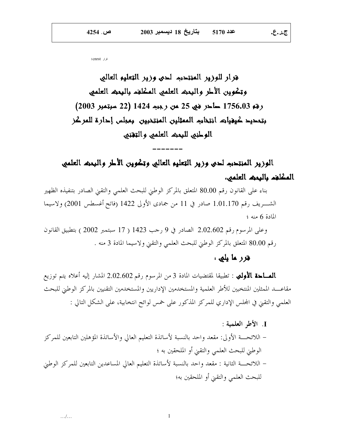قرار 1cnrst

فزار للوزير المنتحبه لحى وزير التعليم العالى وتكوين الأطر والبعث العلمى المكلفء بالبعث العلمى رقم 1756.03 حاجز فني 25 من رجيد 1424 (22 سبتمبر 2003) بتمحيد كيغياته انتخابه الممثلين المنتخبين بمبلس إحارة للمركز الوطني للبعث العلمي والتقنى

الوزير المنتحبه لحبى وزير التعليم العالبي وتكوين الأطر والبحث العلمي المكلفء بالبمث العلمى،

بناء على القانون رقم 80.00 المتعلق بالمركز الوطني للبحث العلمي والتقيي الصادر بتنفيذه الظهير الشـــريف رقم 1.01.170 صادر في 11 من جمادى الأولى 1422 (فاتح أغسطس 2001) ولاسيما المادة 6 منه ؛

وعلى المرسوم رقم 2.02.602 الصادر في 9 رحب 1423 ( 17 سبتمبر 2002 ) بتطبيق القانون رقم 80.00 المتعلق بالمركز الوطني للبحث العلمي والتقيي ولاسيما المادة 3 منه .

## قرر ما بلی :

ج.ر.ع.

**الصـاحة الأولمي** : تطبيقا لمقتضيات المادة 3 من المرسوم رقم 2.02.602 المشار إليه أعلاه يتم توزيع مقاعــــد الممثلين المنتخبين للأطر العلمية والمستخدمين الإداريين والمستخدمين التقنيين بالمركز الوطني للبحث العلمي والتقني في المجلس الإداري للمركز المذكور على خمس لوائح انتخابية، على الشكل التالي :

J. الأط العلمية: – اللائحــــة الأولى: مقعد واحد بالنسبة لأساتذة التعليم العالي والأساتذة المؤهلين التابعين للمركز الوطيٰ للبحث العلمي والتقبيٰ أو الملحقين به ؛ – اللائحــــة الثانية : مقعد واحد بالنسبة لأساتذة التعليم العالي المساعدين التابعين للمركز الوطني للبحث العلمي والتقيىٰ أو الملحقين به؛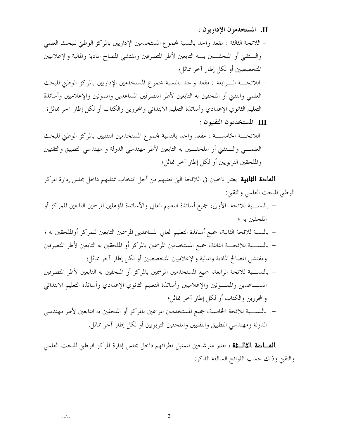II. المستخدمون الإداريون :

– اللائحة الثالثة : مقعد واحد بالنسبة لمحموع المستخدمين الإداريين بالمركز الوطني للبحث العلمي والستقني أو الملحقـــين بــــه التابعين لأطر المتصرفين ومفتشى المصالح المادية والمالية والإعلاميين المتخصصين أو لكل إطار آخر مماثل؛ – اللائحـــة الـــرابعة : مقعد واحد بالنسبة لمحموع المستخدمين الإداريين بالمركز الوطني للبحث العلمي والتقني أو الملحقين به التابعين لأطر المتصرفين المساعدين والممونين والإعلاميين وأساتذة التعليم الثانوي الإعدادي وأساتذة التعليم الابتدائي والمحررين والكتاب أو لكل إطار آحر مماثل؛ III. المستخدمون التقنيون : – اللائحـــة الخامســـة : مقعد واحد بالنسبة لمحموع المستخدمين التقنيين بالمركز الوطني للبحث العلمـــي والـــتقيٰ أو الملحقـــين به التابعين لأطر مهندسي الدولة و مهندسي التطبيق والتقنيين

**الماحة الثانية** : يعتبر ناحبين في اللائحة التي تعنيهم من أجل انتخاب ممثليهم داخل مجلس إدارة المركز الوطني للبحث العلمي والتقيي:

والملحقين التربويين أو لكل إطار آحر مماثل؛

- بالنســـبة للائحة الأولى، جميع أساتذة التعليم العالي والأساتذة المؤهلين المرسمين التابعين للمركز أو الملحقين به ؛
- بالنسبة للائحة الثانية، جميع أساتذة التعليم العالي المساعدين المرسمين التابعين للمركز أوالملحقين به ؛
- بالنســـبة للائحـــة الثالثة، جميع المستخدمين المرسمين بالمركز أو الملحقين به التابعين لأطر المتصرفين ومفتشى المصالح المادية والمالية والإعلاميين المتخصصين أو لكل إطار آخر مماثل؛
- بالنســـبة للائحة الرابعة، جميع المستخدمين المرسمين بالمركز أو الملحقين به التابعين لأطر المتصرفين المســـاعدين والممــــونين والإعلاميين وأساتذة التعليم الثانوي الإعدادي وأساتذة التعليم الابتدائي والمحررين والكتاب أو لكل إطار آخر مماثل؛
- بالنســـبة للائحة الخامسة، جميع المستخدمين المرسمين بالمركز أو الملحقين به التابعين لأطر مهندسي الدولة ومهندسي التطبيق والتقنيين والملحقين التربويين أو لكل إطار آخر مماثل.

**الصـاحة الثالـثة :** يعتبر مترشحين لتمثيل نظرائهم داخل مجلس إدارة المركز الوطني للبحث العلمي والتقيِّ وذلك حسب اللوائح السالفة الذكر :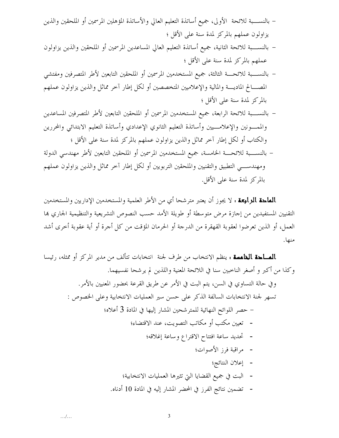- بالنســــبة للائحة الأولى، جميع أساتذة التعليم العالي والأساتذة المؤهلين المرسمين أو الملحقين والذين يزاولون عملهم بالمركز لمدة سنة على الأقل ؛
- بالنســـبة للائحة الثانية، جميع أساتذة التعليم العالي المساعدين المرسمين أو الملحقين والذين يزاولون عملهم بالمركز لمدة سنة على الأقل ؛
- بالنســـبة للائحـــة الثالثة، جميع المستخدمين المرسمين أو الملحقين التابعين لأطر المتصرفين ومفتشي المصـــالح الماديــــة والمالية والإعلاميين المتخصصين أو لكل إطار آخر مماثل والذين يزاولون عملهم بالمركز لمدة سنة على الأقل ؛
- بالنســـبة للائحة الرابعة، جميع المستخدمين المرسمين أو الملحقين التابعين لأطر المتصرفين المساعدين والممسونين والإعلامسيين وأساتذة التعليم الثانوي الإعدادي وأساتذة التعليم الابتدائي والمحررين والكتاب أو لكل إطار آخر مماثل والذين يزاولون عملهم بالمركز لمدة سنة على الأقل ؛ – بالنســـبة للائحـــة الخامسة، جميع المستخدمين المرسمين أو الملحقين التابعين لأطر مهندسي الدولة ومهندســـي التطبيق والتقنيين والملحقين التربويين أو لكل إطار آخر مماثل والذين يزاولون عملهم بالمركز لمدة سنة على الأقل.

**الماحة الرابعة :** لا يجوز أن يعتبر مترشحا أي من الأطر العلمية والمستخدمين الإداريين والمستخدمين التقنيين المستفيدين من إجازة مرض متوسطة أو طويلة الأمد حسب النصوص التشريعية والتنظيمية الجاري بما العمل، أو الذين تعرضوا لعقوبة القهقرة من الدرجة أو الحرمان المؤقت من كل أجرة أو أية عقوبة أخرى أشد منها.

**الصـاحة الغامسة :** ينظم الانتخاب من طرف لجنة انتخابات تتألف من مدير المركز أو ممثله، رئيسا وكذا من أكبر و أصغر الناحبين سنا في اللائحة المعنية واللذين لم يرشحا نفسيهما. وفي حالة التساوي في السن، يتم البت في الأمر عن طريق القرعة بحضور المعنيين بالأمر. تسهر لجنة الانتخابات السالفة الذكر على حسن سير العمليات الانتخابية وعلى الخصوص : – حصر اللوائح النهائية للمتر شحين المشار إليها في المادة 3 أعلاه؛ - تعيين مكتب أو مكاتب التصويت، عند الاقتضاء؛ - تحديد ساعة افتتاح الاقتراع وساعة إغلاقه؛ - مراقبة فرز الأصوات؛ - إعلان النتائج؛ - البت في جميع القضايا التي تثيرها العمليات الانتخابية؛ - تضمين نتائج الفرز في المحضر المشار إليه في المادة 10 أدناه.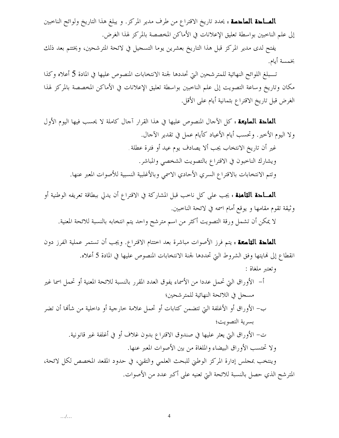**الصـاحة الساحسة :** يحدد تاريخ الاقتراع من طرف مدير المركز. و يبلغ هذا التاريخ ولوائح الناخبين إلى علم الناخبين بواسطة تعليق الإعلانات في الأماكن المخصصة بالمركز لهذا الغرض.

يفتح لدى مدير المركز قبل هذا التاريخ بعشرين يوما التسحيل في لائحة المترشحين، ويختتم بعد ذلك بخمسة أيام.

تـــبلغ اللوائح النهائية للمترشحين التي تحددها لجنة الانتخابات المنصوص عليها في المادة 5 أعلاه وكذا مكان وتاريخ وساعة التصويت إلى علم الناخبين بواسطة تعليق الإعلانات في الأماكن المخصصة بالمركز لهذا الغرض قبل تاريخ الاقتراع بثمانية أيام على الأقل.

**المُعاجمة السابعة :** كل الآحال المنصوص عليها في هذا القرار آحال كاملة لا يحسب فيها اليوم الأول ولا اليوم الأخير. وتحسب أيام الأعياد كأيام عمل في تقدير الآحال. غير أن تاريخ الانتخاب يجب ألا يصادف يوم عيد أو فترة عطلة . ويشارك الناحبون في الاقتراع بالتصويت الشخصي والمباشر. وتتم الانتخابات بالاقتراع السري الأحادي الاسمى وبالأغلبية النسبية للأصوات المعبر عنها.

**الصـاحة الثامنة :** يجب على كل ناحب قبل المشاركة في الاقتراع أن يدلي ببطاقة تعريفه الوطنية أو وثيقة تقوم مقامها و يوقع أمام اسمه في لائحة الناحبين.

لا يمكن أن تشمل ورقة التصويت أكثر من اسم مترشح واحد يتم انتخابه بالنسبة للائحة المعنية.

**المُهاجة التاسِعة :** يتم فرز الأصوات مباشرة بعد اختتام الاقتراع. ويجب أن تستمر عملية الفرز دون انقطاع إلى نمايتها وفق الشروط التي تحددها لجنة الانتخابات المنصوص عليها في المادة 5 أعلاه.

وتعتبر ملغاة : أ– الأوراق التي تحمل عددا من الأسماء يفوق العدد المقرر بالنسبة للائحة المعنية أو تحمل اسما غير مسجل في اللائحة النهائية للمتر شحين؛ ب– الأوراق أو الأغلفة التي تتضمن كتابات أو تحمل علامة خارجية أو داخلية من شألها أن تضر بسرية التصويت؛ ت– الأوراق التي يعثر عليها في صندوق الاقتراع بدون غلاف أو في أغلفة غير قانونية. ولا تحتسب الأوراق البيضاء والملغاة من بين الأصوات المعبر عنها. وينتخب بمجلس إدارة المركز الوطني للبحث العلمي والتقيي، في حدود المقعد المخصص لكل لائحة، المترشح الذي حصل بالنسبة للائحة التي تعنيه على أكبر عدد من الأصوات.